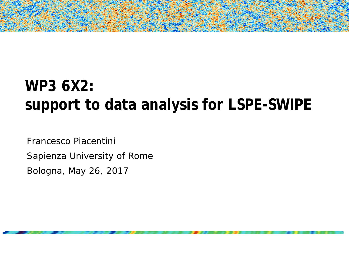# **WP3 6X2: support to data analysis for LSPE-SWIPE**

Francesco Piacentini Sapienza University of Rome Bologna, May 26, 2017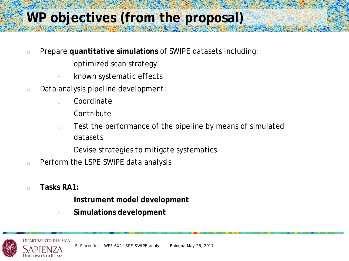# **WP objectives (from the proposal)**

- Prepare **quantitative simulations** of SWIPE datasets including:
	- **propraingled scan strategy**
	- **Example 25 Service Streets**
- Data analysis pipeline development:
	- n Coordinate
	- n Contribute
	- $\Box$  Test the performance of the pipeline by means of simulated datasets
	- Devise strategies to mitigate systematics.
- **Perform the LSPE SWIPE data analysis**
- **Tasks RA1:**
	- **Instrument model development**
	- **Simulations development**



F. Piacentini – WP3 6X2 LSPE-SWIPE analysis – Bologna May 26, 2017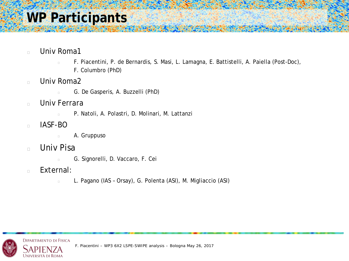## **WP Participants**

- **Detail Univ Romal** 
	- F. Piacentini, P. de Bernardis, S. Masi, L. Lamagna, E. Battistelli, A. Paiella (Post-Doc), F. Columbro (PhD)
- $\Box$  Univ Roma2
	- G. De Gasperis, A. Buzzelli (PhD)
- **Detail Univ Ferrara** 
	- P. Natoli, A. Polastri, D. Molinari, M. Lattanzi
- **IASF-BO** 
	- **E A.** Gruppuso
- Univ Pisa
	- G. Signorelli, D. Vaccaro, F. Cei
- **External:** 
	- L. Pagano (IAS Orsay), G. Polenta (ASI), M. Migliaccio (ASI)

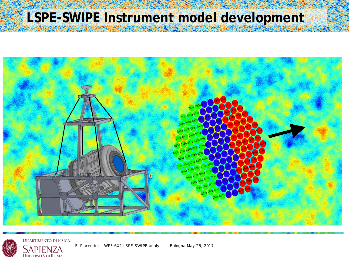# **LSPE-SWIPE Instrument model development**



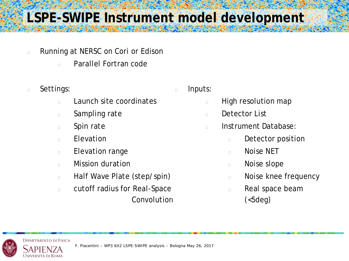## **LSPE-SWIPE Instrument model development**

- **Example 2** Running at NERSC on Cori or Edison
	- Parallel Fortran code
- **Settings:** 
	- **Launch site coordinates**
	- **sampling rate**
	- **spin rate**
	- **Elevation**
	- **Elevation range**
	- **Nission duration**
	- Half Wave Plate (step/spin)
	- cutoff radius for Real-Space **Convolution**

#### **Inputs:**

- **Example 1** High resolution map
- **Detector List**
- n Instrument Database:
	- **Detector position**
	- n Noise NET
	- Noise slope
	- **Noise knee frequency**
	- **Real space beam**  $(**5**deg)$

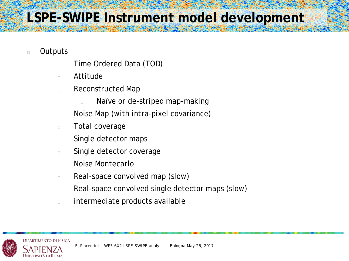- **Dutputs** 
	- **Time Ordered Data (TOD)**
	- Attitude
	- **Reconstructed Map** 
		- Naïve or de-striped map-making
	- Noise Map (with intra-pixel covariance)
	- **Total coverage**
	- **Single detector maps**
	- **Single detector coverage**
	- **Noise Montecarlo**
	- **Real-space convolved map (slow)**
	- **Real-space convolved single detector maps (slow)**
	- intermediate products available

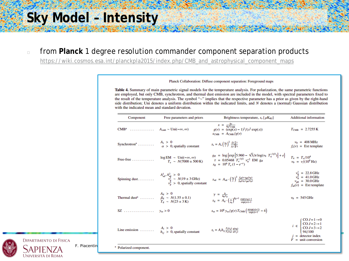#### **Sky Model – Intensity**

from **Planck** 1 degree resolution commander component separation products

[https://wiki.cosmos.esa.int/planckpla2015/index.php/CMB\\_and\\_astrophysical\\_component\\_maps](https://wiki.cosmos.esa.int/planckpla2015/index.php/CMB_and_astrophysical_component_maps)

#### Free parameters and priors Component Brightness temperature,  $s_v$  [ $\mu$ K<sub>RJ</sub>] **Additional information**  $x = \frac{h\nu}{k_B T_{CMB}}$ <br>g(v) =  $(\exp(x) - 1)^2 / (x^2 \exp(x))$ CMB<sup>a</sup> ...........  $A_{cmh} \sim \text{Uni}(-\infty, \infty)$  $T_{\text{CMB}} = 2.7255 \text{ K}$  $s_{\text{CMB}} = A_{\text{CMB}}/g(v)$ Synchrotron<sup>a</sup> ........  $A_s > 0$ <br>  $\alpha > 0$ , spatially constant  $v_0 = 408 \text{ MHz}$  $s_{\rm s}=A_{\rm s}\left(\frac{v_0}{v}\right)^2\frac{f_{\rm s}(\frac{v}{\alpha})}{f_{\rm s}(\frac{v_0}{\alpha})}$  $f_s(v)$  = Ext template  $\begin{array}{l} g_{\rm ff} \; = \; \log \left\{ \exp \left[ 5.960 - \sqrt{3} / \pi \log (\nu_9 \;\; T_4^{-3/2}) \right] + e \right\} \\ \tau \; = \; 0.05468 \;\; T_{\rm e}^{-3/2} \;\; \nu_9^{-2} \;\; {\rm EM} \;\; {\rm g}_{\rm ff} \\ s_{\rm ff} \; = \; 10^6 \, T_{\rm e} \, (1 - e^{-\tau}) \end{array}$ log EM  $\sim$  Uni( $-\infty$ ,  $\infty$ )<br>  $T_e \sim N(7000 \pm 500 \text{ K})$  $T_4 = T_e/10^4$ Free-free  $\dots\dots\dots\dots$  $v_9 = v/(10^9 \text{ Hz})$  $v_0^1$  = 22.8 GHz<br> $v_0^2$  = 41.0 GHz  $\begin{array}{rcl} A_{\rm sd}^1, A_{\rm sd}^2 & > & 0 \\ \nu_{\rm p}^1 & \sim & N(19 \pm 3 \, \mathrm{GHz}) \\ \nu_p^2 & > & 0 \text{, spatially constant} \end{array} \quad s_{\rm sd} \; = \; A_{\rm sd} \cdot \left(\frac{v_0}{v}\right)^2 \frac{f_{\rm sd}(v \cdot v_{\rm p0}/v_{\rm p})}{f_{\rm sd}(v_0 \cdot v_{\rm p0}/v_{\rm p})}$ Spinning dust........  $v_{\text{p0}} = 30.0 \text{ GHz}$  $f_{sd}(v)$  = Ext template Thermal dust<sup>a</sup> ......  $\beta_d > 0$ <br>  $\gamma = \frac{h}{k_B T_d}$ <br>  $T_d \sim N(1.55 \pm 0.1)$ <br>  $T_d \sim N(23 \pm 3 \text{ K})$ <br>  $s_d = A_d \cdot \left(\frac{v}{v_0}\right)^{\beta_d + 1} \frac{\exp(vv_0) - 1}{\exp(vv) - 1}$  $v_0 = 545 \text{ GHz}$  $s_{sz} = 10^6$  y<sub>sz</sub>/g(v)  $T_{CMB}$   $\left(\frac{x(exp(x)+1)}{exp(x)-1} - 4\right)$ SZ . . . . . . . . . . . . . . .  $y_{sz} > 0$  $CO J = 1 \rightarrow 0$  $CO J = 2 \rightarrow 1$  $A_i > 0$  $CO J = 3 \rightarrow 2$  $s_i = A_i h_{ij} \frac{F_i(v_j)}{F_i(v_0)} \frac{g(v_0)}{g(v_i)}$ Line emission  $\dots$ ...  $h_{ii} > 0$ , spatially constant 94/100  $j =$  detector index  $F =$  unit conversion F. Piacentin**i – Washington** and Polarized component.

Planck Collaboration: Diffuse component separation: Foreground maps

Table 4. Summary of main parametric signal models for the temperature analysis. For polarization, the same parametric functions are employed, but only CMB, synchrotron, and thermal dust emission are included in the model, with spectral parameters fixed to the result of the temperature analysis. The symbol "~" implies that the respective parameter has a prior as given by the right-hand side distribution; Uni denotes a uniform distribution within the indicated limits, and N denotes a (normal) Gaussian distribution with the indicated mean and standard devation.

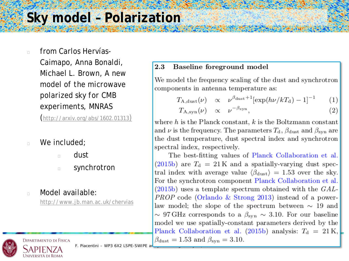#### **Sky model – Polarization**

n from Carlos Hervías-Caimapo, Anna Bonaldi, Michael L. Brown, *A new model of the microwave polarized sky for CMB experiments,* MNRAS

([http://arxiv.org/abs/1602.01313\)](http://arxiv.org/abs/1602.01313))

- **Ne included;** 
	- dust
	- **synchrotron**
- **Nodel available:**

<http://www.jb.man.ac.uk/chervias>

#### 2.3 Baseline foreground model

We model the frequency scaling of the dust and synchrotron components in antenna temperature as:

$$
T_{\rm A, dust}(\nu) \propto \nu^{\beta_{\rm dust}+1} [\exp(h\nu/kT_{\rm d})-1]^{-1} \qquad (1)
$$

$$
T_{A,\mathrm{syn}}(\nu) \quad \propto \quad \nu^{-\beta_{\mathrm{syn}}},\tag{2}
$$

where  $h$  is the Planck constant,  $k$  is the Boltzmann constant and  $\nu$  is the frequency. The parameters  $T_{\rm d}$ ,  $\beta_{\rm dust}$  and  $\beta_{\rm syn}$  are the dust temperature, dust spectral index and synchrotron spectral index, respectively.

The best-fitting values of Planck Collaboration et al. (2015b) are  $T_d = 21 \,\mathrm{K}$  and a spatially-varying dust spectral index with average value  $\langle \beta_{\text{dust}} \rangle = 1.53$  over the sky. For the synchrotron component Planck Collaboration et al.  $(2015b)$  uses a template spectrum obtained with the  $GAL-$ *PROP* code (Orlando & Strong 2013) instead of a powerlaw model; the slope of the spectrum between  $\sim$  19 and  $\sim$  97 GHz corresponds to a  $\beta_{\rm syn} \sim 3.10$ . For our baseline model we use spatially-constant parameters derived by the Planck Collaboration et al. (2015b) analysis:  $T_d = 21 \text{ K}$ ,  $\beta_{\text{dust}} = 1.53$  and  $\beta_{\text{syn}} = 3.10$ .



F. Piacentini – WP3 6X2 LSPE-SWIPE ar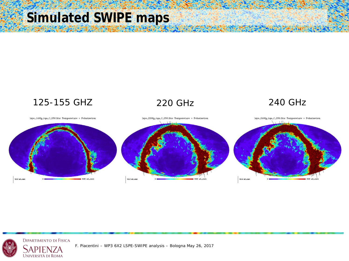# **Simulated SWIPE maps**



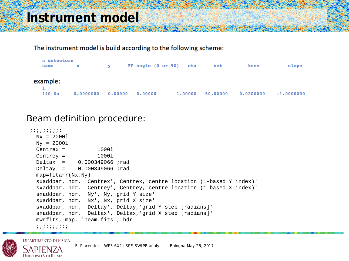#### **Instrument model**

#### The instrument model is build according to the following scheme:

| n detectors<br>name | x         | v       |         | FP angle (0 or 90) eta | net      | knee      | slope         |
|---------------------|-----------|---------|---------|------------------------|----------|-----------|---------------|
| example:            |           |         |         |                        |          |           |               |
| 140 Oa              | 0.0000000 | 0.00000 | 0.00000 | 1,00000                | 50.00000 | 0.0200000 | $-1.00000000$ |

#### Beam definition procedure:

```
;;;;;;;;;;
Nx = 20001Ny = 2000l
Center = 10001<br>Centrey = 10001
Centrev =Deltax = 0.000349066 ; rad<br>Deltay = 0.000349066 ; rad
             0.000349066 ;rad
map=fltarr(Nx,Ny)
sxaddpar, hdr, 'Centrex', Centrex,'centre location (1-based Y index)'
sxaddpar, hdr, 'Centrey', Centrey,'centre location (1-based X index)'
sxaddpar, hdr, 'Ny', Ny,'grid Y size'
sxaddpar, hdr, 'Nx', Nx,'grid X size'
sxaddpar, hdr, 'Deltay', Deltay,'grid Y step [radians]'
sxaddpar, hdr, 'Deltax', Deltax,'grid X step [radians]'
mwrfits, map, 'beam.fits', hdr
 ;;;;;;;;;;
```
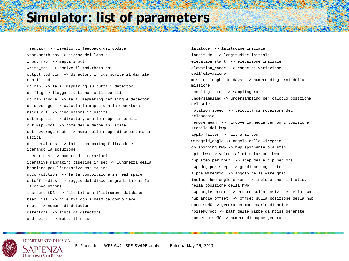#### **Simulator: list of parameters**

feedback -> livello di feedback del codice year,month,day -> giorno del lancio input\_map -> mappa input write\_tod -> scrive il tod,theta,phi output\_tod\_dir -> directory in cui scrive il dirfile con il tod do\_map -> fa il mapmaking su tutti i detector do\_flag -> flagga i dati non utilizzabili do\_map\_single -> fa il mapmaking per single detector do\_coverage -> calcola la mappa con la copertura nside\_out -> risoluzione in uscita out map dir -> directory con le mappe in uscita out map root -> nome delle mappe in uscita out\_coverage\_root -> nome delle mappe di copertura in uscita do\_iterations -> fai il mapmaking filtrando e iterando la soluzione iterations -> numero di iterazioni iterative mapmaking baseline in sec -> lunghezza della baseline per l'iterative map-making doconvolution -> fa la convoluzione in real space cutoff\_radius -> raggio del disco in gradi in cui fa la convoluzione instrumentDB -> file txt con l'istrument database beam\_list -> file txt con i beam da convolvere ndet -> numero di detectors detectors -> lista di detectors add\_noise -> mette il noise

latitude -> latitudine iniziale longitude -> longitudine iniziale elevation\_start -> elevazione iniziale elevation\_range -> range di variazione dell'elevazione mission\_lenght\_in\_days -> numero di giorni della missione sampling\_rate -> sampling rate undersampling -> undersampling per calcolo posizione del sole rotation\_speed -> velocità di rotazione del telescopio remove\_mean -> rimuove la media per ogni posizione stabile del hwp apply\_filter -> filtra il tod wiregrid\_angle -> angolo della wiregrid do\_spinning\_hwp -> hwp spinnante o a step spin\_hwp -> velocita' di rotazione hwp hwp\_step\_per\_hour -> step della hwp per ora hwp\_deg\_per\_step -> gradi per ogni step alpha\_wiregrid -> angolo della wire grid include\_hwp\_angle\_error -> include una sistmatica nella posizione della hwp hwp\_angle\_error -> errore sulla posizione della hwp hwp\_angle\_offset -> offset sulla posizione della hwp donoiseMC -> genera un montecarlo di noise noiseMCroot -> path delle mappe di noise generate numbernoiseMC -> numero di mappe generate